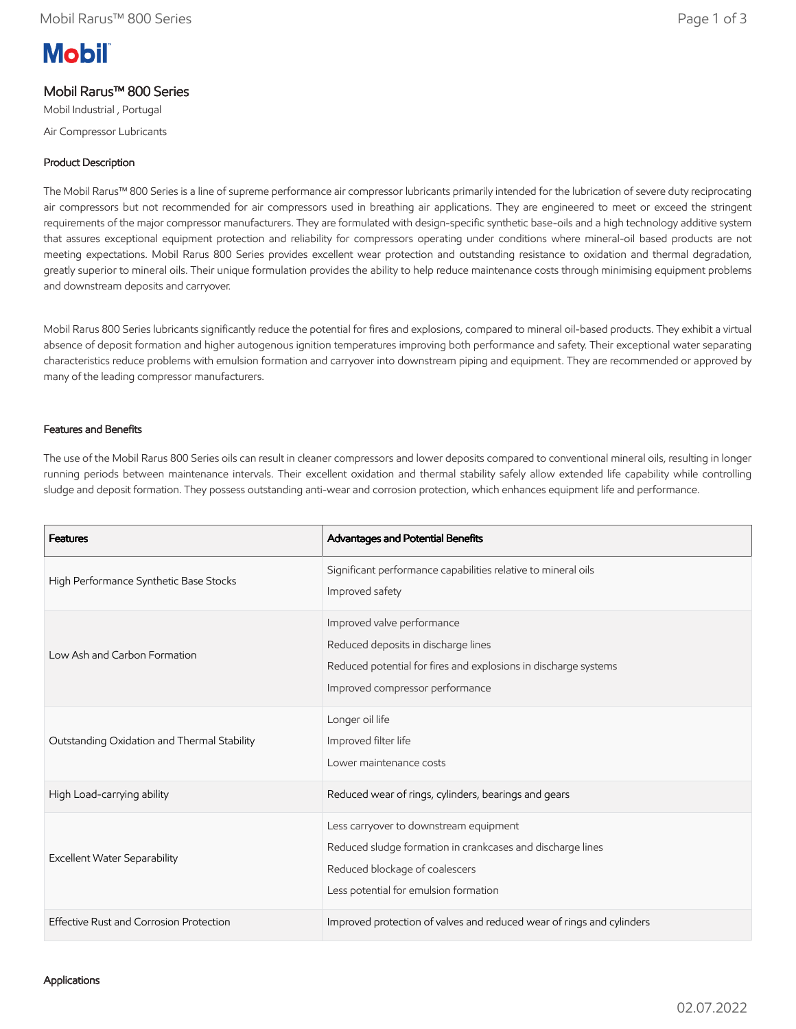# **Mobil**

## Mobil Rarus™ 800 Series

Mobil Industrial , Portugal Air Compressor Lubricants

#### Product Description

The Mobil Rarus™ 800 Series is a line of supreme performance air compressor lubricants primarily intended for the lubrication of severe duty reciprocating air compressors but not recommended for air compressors used in breathing air applications. They are engineered to meet or exceed the stringent requirements of the major compressor manufacturers. They are formulated with design-specific synthetic base-oils and a high technology additive system that assures exceptional equipment protection and reliability for compressors operating under conditions where mineral-oil based products are not meeting expectations. Mobil Rarus 800 Series provides excellent wear protection and outstanding resistance to oxidation and thermal degradation, greatly superior to mineral oils. Their unique formulation provides the ability to help reduce maintenance costs through minimising equipment problems and downstream deposits and carryover.

Mobil Rarus 800 Series lubricants significantly reduce the potential for fires and explosions, compared to mineral oil-based products. They exhibit a virtual absence of deposit formation and higher autogenous ignition temperatures improving both performance and safety. Their exceptional water separating characteristics reduce problems with emulsion formation and carryover into downstream piping and equipment. They are recommended or approved by many of the leading compressor manufacturers.

#### Features and Benefits

The use of the Mobil Rarus 800 Series oils can result in cleaner compressors and lower deposits compared to conventional mineral oils, resulting in longer running periods between maintenance intervals. Their excellent oxidation and thermal stability safely allow extended life capability while controlling sludge and deposit formation. They possess outstanding anti-wear and corrosion protection, which enhances equipment life and performance.

| <b>Features</b>                             | Advantages and Potential Benefits                                                                                                                                               |
|---------------------------------------------|---------------------------------------------------------------------------------------------------------------------------------------------------------------------------------|
| High Performance Synthetic Base Stocks      | Significant performance capabilities relative to mineral oils<br>Improved safety                                                                                                |
| Low Ash and Carbon Formation                | Improved valve performance<br>Reduced deposits in discharge lines<br>Reduced potential for fires and explosions in discharge systems<br>Improved compressor performance         |
| Outstanding Oxidation and Thermal Stability | Longer oil life<br>Improved filter life<br>Lower maintenance costs                                                                                                              |
| High Load-carrying ability                  | Reduced wear of rings, cylinders, bearings and gears                                                                                                                            |
| <b>Excellent Water Separability</b>         | Less carryover to downstream equipment<br>Reduced sludge formation in crankcases and discharge lines<br>Reduced blockage of coalescers<br>Less potential for emulsion formation |
| Effective Rust and Corrosion Protection     | Improved protection of valves and reduced wear of rings and cylinders                                                                                                           |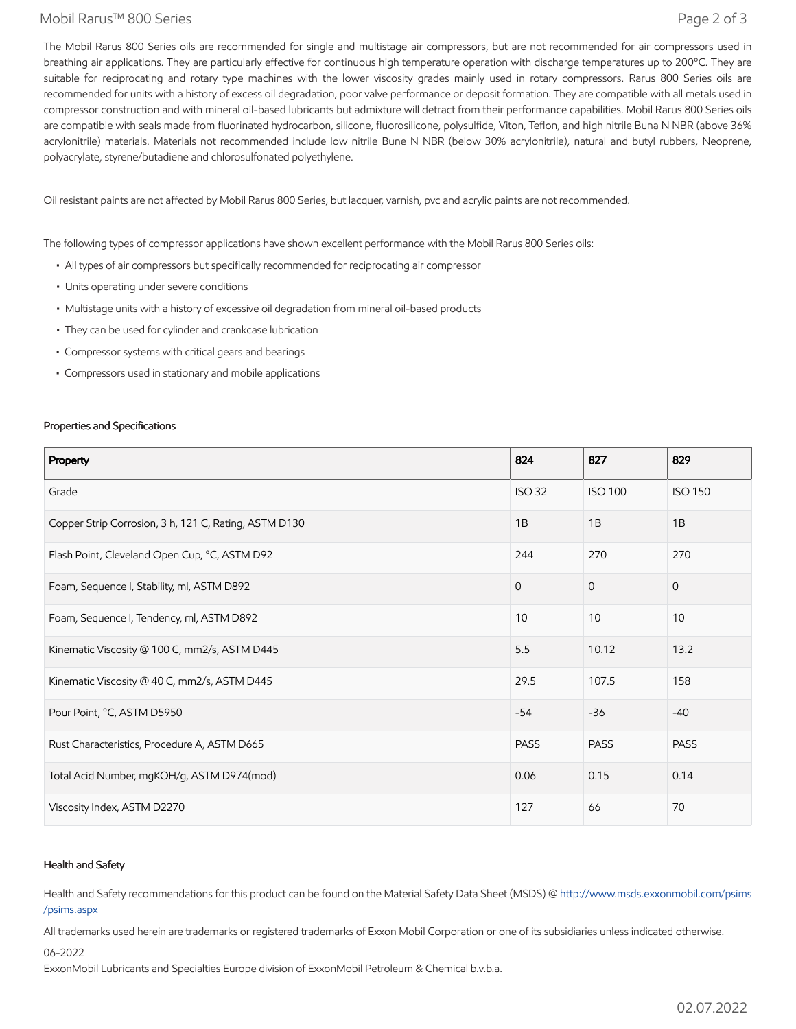#### Mobil Rarus™ 800 Series Page 2 of 3

The Mobil Rarus 800 Series oils are recommended for single and multistage air compressors, but are not recommended for air compressors used in breathing air applications. They are particularly effective for continuous high temperature operation with discharge temperatures up to 200°C. They are suitable for reciprocating and rotary type machines with the lower viscosity grades mainly used in rotary compressors. Rarus 800 Series oils are recommended for units with a history of excess oil degradation, poor valve performance or deposit formation. They are compatible with all metals used in compressor construction and with mineral oil-based lubricants but admixture will detract from their performance capabilities. Mobil Rarus 800 Series oils are compatible with seals made from fluorinated hydrocarbon, silicone, fluorosilicone, polysulfide, Viton, Teflon, and high nitrile Buna N NBR (above 36% acrylonitrile) materials. Materials not recommended include low nitrile Bune N NBR (below 30% acrylonitrile), natural and butyl rubbers, Neoprene, polyacrylate, styrene/butadiene and chlorosulfonated polyethylene.

Oil resistant paints are not affected by Mobil Rarus 800 Series, but lacquer, varnish, pvc and acrylic paints are not recommended.

The following types of compressor applications have shown excellent performance with the Mobil Rarus 800 Series oils:

- All types of air compressors but specifically recommended for reciprocating air compressor
- Units operating under severe conditions
- Multistage units with a history of excessive oil degradation from mineral oil-based products
- They can be used for cylinder and crankcase lubrication
- Compressor systems with critical gears and bearings
- Compressors used in stationary and mobile applications

#### Properties and Specifications

| Property                                              | 824           | 827            | 829            |
|-------------------------------------------------------|---------------|----------------|----------------|
| Grade                                                 | <b>ISO 32</b> | <b>ISO 100</b> | <b>ISO 150</b> |
| Copper Strip Corrosion, 3 h, 121 C, Rating, ASTM D130 | 1B            | 1B             | 1B             |
| Flash Point, Cleveland Open Cup, °C, ASTM D92         | 244           | 270            | 270            |
| Foam, Sequence I, Stability, ml, ASTM D892            | $\Omega$      | $\Omega$       | $\mathbf{0}$   |
| Foam, Sequence I, Tendency, ml, ASTM D892             | 10            | 10             | 10             |
| Kinematic Viscosity @ 100 C, mm2/s, ASTM D445         | 5.5           | 10.12          | 13.2           |
| Kinematic Viscosity @ 40 C, mm2/s, ASTM D445          | 29.5          | 107.5          | 158            |
| Pour Point, °C, ASTM D5950                            | $-54$         | $-36$          | $-40$          |
| Rust Characteristics, Procedure A, ASTM D665          | <b>PASS</b>   | <b>PASS</b>    | <b>PASS</b>    |
| Total Acid Number, mgKOH/g, ASTM D974(mod)            | 0.06          | 0.15           | 0.14           |
| Viscosity Index, ASTM D2270                           | 127           | 66             | 70             |

#### Health and Safety

Health and Safety recommendations for this product can be found on the Material Safety Data Sheet (MSDS) @ [http://www.msds.exxonmobil.com/psims](http://www.msds.exxonmobil.com/psims/psims.aspx) /psims.aspx

All trademarks used herein are trademarks or registered trademarks of Exxon Mobil Corporation or one of its subsidiaries unless indicated otherwise.

06-2022

ExxonMobil Lubricants and Specialties Europe division of ExxonMobil Petroleum & Chemical b.v.b.a.